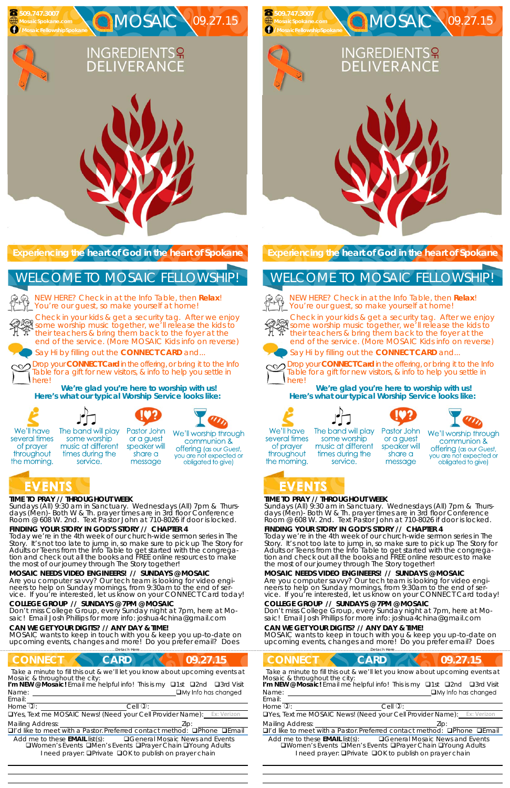### **TIME TO PRAY // THROUGHOUT WEEK**

*Sundays* (All) 9:30 am in Sanctuary. *Wednesdays* (All) 7pm & *Thursdays* (Men)- Both W & Th. prayer times are in 3rd floor Conference Room @ 608 W. 2nd. Text Pastor John at 710-8026 if door is locked.

### **FINDING YOUR STORY IN GOD'S STORY // CHAPTER 4**

some worship

times during the

service.

Today we're in the 4th week of our church-wide sermon series in The Story. It's not too late to jump in, so make sure to pick up The Story for Adults or Teens from the Info Table to get started with the congregation and check out all the books and FREE online resources to make the most of our journey through The Story together!

NEW HERE? Check in at the Info Table, then **Relax**! You're our guest, so make yourself at home!

**MOSAIC NEEDS VIDEO ENGINEERS! // SUNDAYS @ MOSAIC**  Are you computer savvy? Our tech team is looking for video engineers to help on Sunday mornings, from 9:30am to the end of service. If you're interested, let us know on your CONNECT Card today!

#### **COLLEGE GROUP // SUNDAYS @ 7PM @ MOSAIC**

Don't miss College Group, every Sunday night at 7pm, here at Mosaic! Email Josh Phillips for more info: joshua4china@gmail.com

#### **CAN WE GET YOUR DIGITS? // ANY DAY & TIME!**

MOSAIC wants to keep in touch with you & keep you up-to-date on upcoming events, changes and more! Do you prefer email? Does

……………………….……………………………………………………….Detach Here……………………………………………..…………………………………

## **CONNECT CARD 109.27.15**

*Sundays* (All) 9:30 am in Sanctuary. *Wednesdays* (All) 7pm & *Thursdays* (Men)- Both W & Th. prayer times are in 3rd floor Conference Room @ 608 W. 2nd. Text Pastor John at 710-8026 if door is locked.

**Experiencing the heart of God in the heart of Spokane** 

Check in your kids & get a security tag. After we enjoy **Street in your master second to see the kids to** their teachers & bring them back to the foyer at the end of the service. (More MOSAIC Kids info on reverse)

Say Hi by filling out the **CONNECT CARD** and...

Drop your **CONNECT Card** in the offering, or bring it to the Info Table for a gift for new visitors, & info to help you settle in here!

**We're glad you're here to worship with us! Here's what our typical Worship Service looks like:** 



several times

of prayer

throughout

the morning.



The band will play Pastor John or a guest music at different speaker will

We'll worship through share a message

communion & **offering** (as our Guest, you are not expected or obligated to give)

## EVENTS



NEW HERE? Check in at the Info Table, then **Relax**! You're our guest, so make yourself at home!



## WELCOME TO MOSAIC FELLOWSHIP!

Email:

Drop your **CONNECT Card** in the offering, or bring it to the Info Table for a gift for new visitors, & info to help you settle in herel

*Take a minute to fill this out & we'll let you know about upcoming events at Mosaic & throughout the city:* 

Name: <u>Quantity and Contract and Contract and Contract and Contract and Contract and Contract and Contract and Contract and Contract and Contract and Contract and Contract and Contract and Contract and Contract and Contrac</u> I'm NEW @ Mosaic! Email me helpful info! This is my **Q1st Q2nd Q3rd Visit** 

 

Home  $\mathbb{D}$ :  $\qquad \qquad$  Cell  $\mathbb{D}$ :

UYes, Text me MOSAIC News! (Need your Cell Provider Name):

Mailing Address: **Mailing Address: 2ip:** 

 $\Box$ I'd like to meet with a Pastor. Preferred contact method:  $\Box$ Phone  $\Box$ Email

Add me to these **EMAIL** list(s): General Mosaic News and Events **QWomen's Events QMen's Events QPrayer Chain QYoung Adults** I need prayer: **QPrivate QOK to publish on prayer chain** 

## **TIME TO PRAY // THROUGHOUT WEEK**

## **FINDING YOUR STORY IN GOD'S STORY // CHAPTER 4**

Today we're in the 4th week of our church-wide sermon series in The Story. It's not too late to jump in, so make sure to pick up The Story for Adults or Teens from the Info Table to get started with the congregation and check out all the books and FREE online resources to make the most of our journey through The Story together!

**MOSAIC NEEDS VIDEO ENGINEERS! // SUNDAYS @ MOSAIC**  Are you computer savvy? Our tech team is looking for video engineers to help on Sunday mornings, from 9:30am to the end of service. If you're interested, let us know on your CONNECT Card today!

### **COLLEGE GROUP // SUNDAYS @ 7PM @ MOSAIC**

Don't miss College Group, every Sunday night at 7pm, here at Mosaic! Email Josh Phillips for more info: joshua4china@gmail.com

### **CAN WE GET YOUR DIGITS? // ANY DAY & TIME!**

MOSAIC wants to keep in touch with you & keep you up-to-date on upcoming events, changes and more! Do you prefer email? Does

**Experiencing the heart of God in the heart of Spokane** 

Check in your kids & get a security tag. After we enjoy some worship music together, we'll release the kids to their teachers & bring them back to the foyer at the end of the service. (More MOSAIC Kids info on reverse)





Say Hi by filling out the **CONNECT CARD** and...



|                                        | Detach                                                                                                                     |                                                                                                                          |
|----------------------------------------|----------------------------------------------------------------------------------------------------------------------------|--------------------------------------------------------------------------------------------------------------------------|
| <b>CONNECT</b>                         | <b>CARD</b>                                                                                                                | 09.27.15                                                                                                                 |
| Mosaic & throughout the city:<br>Name: | I'm NEW @ Mosaic! Email me helpful info! This is my <b>Q1st Q2nd</b>                                                       | Take a minute to fill this out & we'll let you know about upcoming events at<br>□3rd Visit<br>$\Box$ My Info has changed |
| Email:                                 |                                                                                                                            |                                                                                                                          |
| Home $\overline{v}$ :                  | Cell $\mathbb{O}$ :                                                                                                        |                                                                                                                          |
|                                        | <b>OYes, Text me MOSAIC News! (Need your Cell Provider Name):</b> Ex: Verizon                                              |                                                                                                                          |
| <b>Mailing Address:</b>                |                                                                                                                            | Lip:                                                                                                                     |
|                                        |                                                                                                                            | $\Box$ I'd like to meet with a Pastor Preferred contact method: $\Box$ Phone $\Box$ Email                                |
| Add me to these $EMAIL$ list(s):       | □Women's Events □Men's Events □Prayer Chain □Young Adults<br>I need prayer: <b>QPrivate QOK</b> to publish on prayer chain | □General Mosaic News and Events                                                                                          |
|                                        |                                                                                                                            |                                                                                                                          |

**We're glad you're here to worship with us! Here's what our typical Worship Service looks like:** 









We'll have several times of prayer throughout the morning.

 **509.747.3007** 

## WELCOME TO MOSAIC FELLOWSHIP!



  The band will play some worship music at different times during the service.

Pastor John or a guest speaker will share a message



## EVENTS